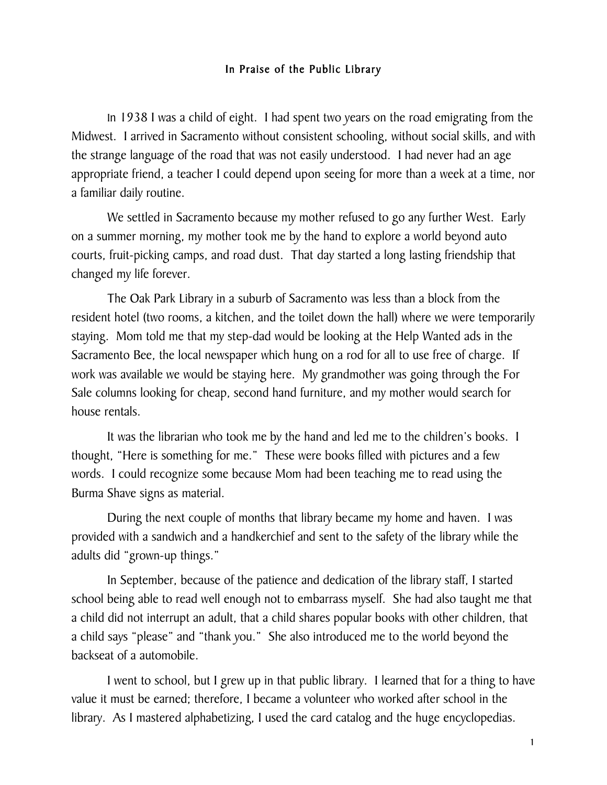## In Praise of the Public Library

In 1938 I was a child of eight. I had spent two years on the road emigrating from the Midwest. I arrived in Sacramento without consistent schooling, without social skills, and with the strange language of the road that was not easily understood. I had never had an age appropriate friend, a teacher I could depend upon seeing for more than a week at a time, nor a familiar daily routine.

We settled in Sacramento because my mother refused to go any further West. Early on a summer morning, my mother took me by the hand to explore a world beyond auto courts, fruit-picking camps, and road dust. That day started a long lasting friendship that changed my life forever.

The Oak Park Library in a suburb of Sacramento was less than a block from the resident hotel (two rooms, a kitchen, and the toilet down the hall) where we were temporarily staying. Mom told me that my step-dad would be looking at the Help Wanted ads in the Sacramento Bee, the local newspaper which hung on a rod for all to use free of charge. If work was available we would be staying here. My grandmother was going through the For Sale columns looking for cheap, second hand furniture, and my mother would search for house rentals.

It was the librarian who took me by the hand and led me to the children's books. I thought, "Here is something for me." These were books filled with pictures and a few words. I could recognize some because Mom had been teaching me to read using the Burma Shave signs as material.

During the next couple of months that library became my home and haven. I was provided with a sandwich and a handkerchief and sent to the safety of the library while the adults did "grown-up things."

In September, because of the patience and dedication of the library staff, I started school being able to read well enough not to embarrass myself. She had also taught me that a child did not interrupt an adult, that a child shares popular books with other children, that a child says "please" and "thank you." She also introduced me to the world beyond the backseat of a automobile.

I went to school, but I grew up in that public library. I learned that for a thing to have value it must be earned; therefore, I became a volunteer who worked after school in the library. As I mastered alphabetizing, I used the card catalog and the huge encyclopedias.